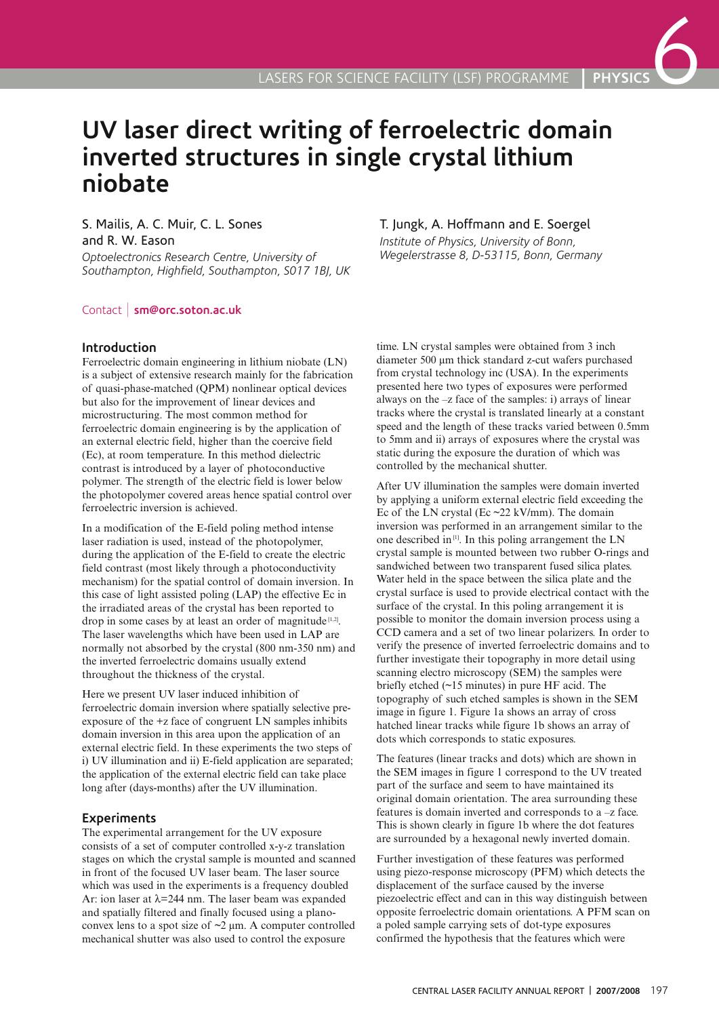# **UV laser direct writing of ferroelectric domain inverted structures in single crystal lithium niobate**

## S. Mailis, A. C. Muir, C. L. Sones and R. W. Eason

*Optoelectronics Research Centre, University of Southampton, Highfield, Southampton, S017 1BJ, UK*

### Contact | **sm@orc.soton.ac.uk**

#### **Introduction**

Ferroelectric domain engineering in lithium niobate (LN) is a subject of extensive research mainly for the fabrication of quasi-phase-matched (QPM) nonlinear optical devices but also for the improvement of linear devices and microstructuring. The most common method for ferroelectric domain engineering is by the application of an external electric field, higher than the coercive field (Ec), at room temperature. In this method dielectric contrast is introduced by a layer of photoconductive polymer. The strength of the electric field is lower below the photopolymer covered areas hence spatial control over ferroelectric inversion is achieved.

In a modification of the E-field poling method intense laser radiation is used, instead of the photopolymer, during the application of the E-field to create the electric field contrast (most likely through a photoconductivity mechanism) for the spatial control of domain inversion. In this case of light assisted poling (LAP) the effective Ec in the irradiated areas of the crystal has been reported to drop in some cases by at least an order of magnitude  $[1,2]$ . The laser wavelengths which have been used in LAP are normally not absorbed by the crystal (800 nm-350 nm) and the inverted ferroelectric domains usually extend throughout the thickness of the crystal.

Here we present UV laser induced inhibition of ferroelectric domain inversion where spatially selective preexposure of the +z face of congruent LN samples inhibits domain inversion in this area upon the application of an external electric field. In these experiments the two steps of i) UV illumination and ii) E-field application are separated; the application of the external electric field can take place long after (days-months) after the UV illumination.

### **Experiments**

The experimental arrangement for the UV exposure consists of a set of computer controlled x-y-z translation stages on which the crystal sample is mounted and scanned in front of the focused UV laser beam. The laser source which was used in the experiments is a frequency doubled Ar: ion laser at λ=244 nm. The laser beam was expanded and spatially filtered and finally focused using a planoconvex lens to a spot size of  $\sim$ 2  $\mu$ m. A computer controlled mechanical shutter was also used to control the exposure

## T. Jungk, A. Hoffmann and E. Soergel

*Institute of Physics, University of Bonn, Wegelerstrasse 8, D-53115, Bonn, Germany*

time. LN crystal samples were obtained from 3 inch diameter 500 µm thick standard z-cut wafers purchased from crystal technology inc (USA). In the experiments presented here two types of exposures were performed always on the –z face of the samples: i) arrays of linear tracks where the crystal is translated linearly at a constant speed and the length of these tracks varied between 0.5mm to 5mm and ii) arrays of exposures where the crystal was static during the exposure the duration of which was controlled by the mechanical shutter.

After UV illumination the samples were domain inverted by applying a uniform external electric field exceeding the Ec of the LN crystal (Ec  $\approx$  22 kV/mm). The domain inversion was performed in an arrangement similar to the one described in[1]. In this poling arrangement the LN crystal sample is mounted between two rubber O-rings and sandwiched between two transparent fused silica plates. Water held in the space between the silica plate and the crystal surface is used to provide electrical contact with the surface of the crystal. In this poling arrangement it is possible to monitor the domain inversion process using a CCD camera and a set of two linear polarizers. In order to verify the presence of inverted ferroelectric domains and to further investigate their topography in more detail using scanning electro microscopy (SEM) the samples were briefly etched (~15 minutes) in pure HF acid. The topography of such etched samples is shown in the SEM image in figure 1. Figure 1a shows an array of cross hatched linear tracks while figure 1b shows an array of dots which corresponds to static exposures.

The features (linear tracks and dots) which are shown in the SEM images in figure 1 correspond to the UV treated part of the surface and seem to have maintained its original domain orientation. The area surrounding these features is domain inverted and corresponds to a –z face. This is shown clearly in figure 1b where the dot features are surrounded by a hexagonal newly inverted domain.

Further investigation of these features was performed using piezo-response microscopy (PFM) which detects the displacement of the surface caused by the inverse piezoelectric effect and can in this way distinguish between opposite ferroelectric domain orientations. A PFM scan on a poled sample carrying sets of dot-type exposures confirmed the hypothesis that the features which were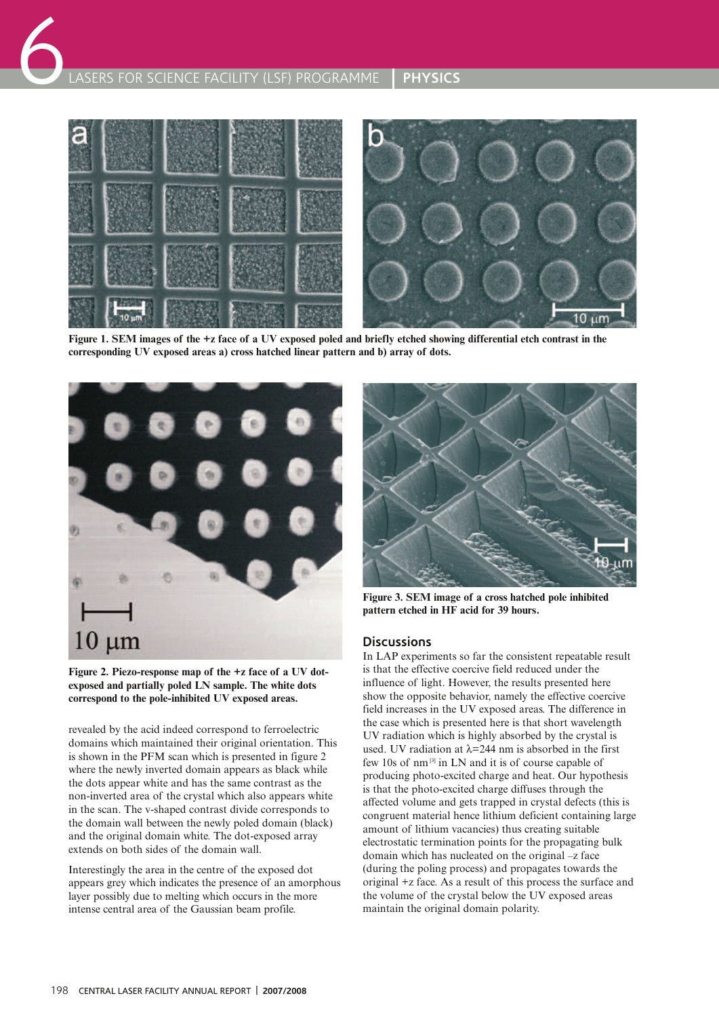

**Figure 1. SEM images of the +z face of a UV exposed poled and briefly etched showing differential etch contrast in the corresponding UV exposed areas a) cross hatched linear pattern and b) array of dots.**



**Figure 2. Piezo-response map of the +z face of a UV dotexposed and partially poled LN sample. The white dots correspond to the pole-inhibited UV exposed areas.**

revealed by the acid indeed correspond to ferroelectric domains which maintained their original orientation. This is shown in the PFM scan which is presented in figure 2 where the newly inverted domain appears as black while the dots appear white and has the same contrast as the non-inverted area of the crystal which also appears white in the scan. The v-shaped contrast divide corresponds to the domain wall between the newly poled domain (black) and the original domain white. The dot-exposed array extends on both sides of the domain wall.

Interestingly the area in the centre of the exposed dot appears grey which indicates the presence of an amorphous layer possibly due to melting which occurs in the more intense central area of the Gaussian beam profile.



**Figure 3. SEM image of a cross hatched pole inhibited pattern etched in HF acid for 39 hours.**

### **Discussions**

In LAP experiments so far the consistent repeatable result is that the effective coercive field reduced under the influence of light. However, the results presented here show the opposite behavior, namely the effective coercive field increases in the UV exposed areas. The difference in the case which is presented here is that short wavelength UV radiation which is highly absorbed by the crystal is used. UV radiation at  $\lambda$ =244 nm is absorbed in the first few 10s of nm [3] in LN and it is of course capable of producing photo-excited charge and heat. Our hypothesis is that the photo-excited charge diffuses through the affected volume and gets trapped in crystal defects (this is congruent material hence lithium deficient containing large amount of lithium vacancies) thus creating suitable electrostatic termination points for the propagating bulk domain which has nucleated on the original –z face (during the poling process) and propagates towards the original +z face. As a result of this process the surface and the volume of the crystal below the UV exposed areas maintain the original domain polarity.